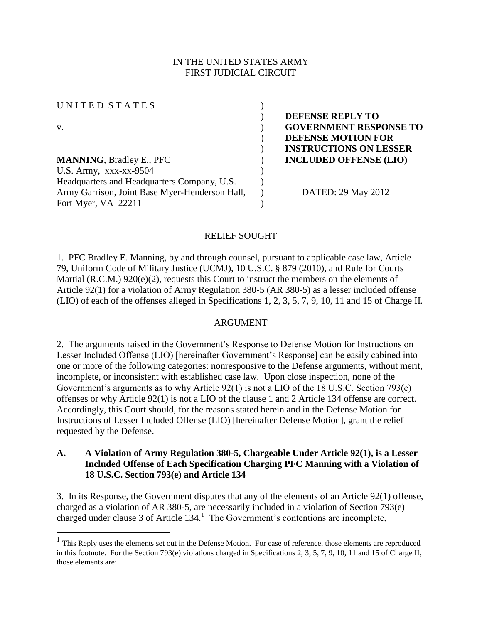# IN THE UNITED STATES ARMY FIRST JUDICIAL CIRCUIT

UNITED STATES ( v. ) **GOVERNMENT RESPONSE TO MANNING**, Bradley E., PFC  $\qquad \qquad$  **INCLUDED OFFENSE (LIO)** U.S. Army,  $XXX-XX-9504$  ) Headquarters and Headquarters Company, U.S. Army Garrison, Joint Base Myer-Henderson Hall, Fort Myer, VA 22211

 $\overline{a}$ 

) **DEFENSE REPLY TO** ) **DEFENSE MOTION FOR**  ) **INSTRUCTIONS ON LESSER** 

) DATED: 29 May 2012

## RELIEF SOUGHT

)

)

1. PFC Bradley E. Manning, by and through counsel, pursuant to applicable case law, Article 79, Uniform Code of Military Justice (UCMJ), 10 U.S.C. § 879 (2010), and Rule for Courts Martial (R.C.M.) 920(e)(2), requests this Court to instruct the members on the elements of Article 92(1) for a violation of Army Regulation 380-5 (AR 380-5) as a lesser included offense (LIO) of each of the offenses alleged in Specifications 1, 2, 3, 5, 7, 9, 10, 11 and 15 of Charge II.

### ARGUMENT

2. The arguments raised in the Government's Response to Defense Motion for Instructions on Lesser Included Offense (LIO) [hereinafter Government's Response] can be easily cabined into one or more of the following categories: nonresponsive to the Defense arguments, without merit, incomplete, or inconsistent with established case law. Upon close inspection, none of the Government's arguments as to why Article 92(1) is not a LIO of the 18 U.S.C. Section 793(e) offenses or why Article 92(1) is not a LIO of the clause 1 and 2 Article 134 offense are correct. Accordingly, this Court should, for the reasons stated herein and in the Defense Motion for Instructions of Lesser Included Offense (LIO) [hereinafter Defense Motion], grant the relief requested by the Defense.

## **A. A Violation of Army Regulation 380-5, Chargeable Under Article 92(1), is a Lesser Included Offense of Each Specification Charging PFC Manning with a Violation of 18 U.S.C. Section 793(e) and Article 134**

3. In its Response, the Government disputes that any of the elements of an Article 92(1) offense, charged as a violation of AR 380-5, are necessarily included in a violation of Section 793(e) charged under clause 3 of Article  $134<sup>1</sup>$ . The Government's contentions are incomplete,

 $<sup>1</sup>$  This Reply uses the elements set out in the Defense Motion. For ease of reference, those elements are reproduced</sup> in this footnote. For the Section 793(e) violations charged in Specifications 2, 3, 5, 7, 9, 10, 11 and 15 of Charge II, those elements are: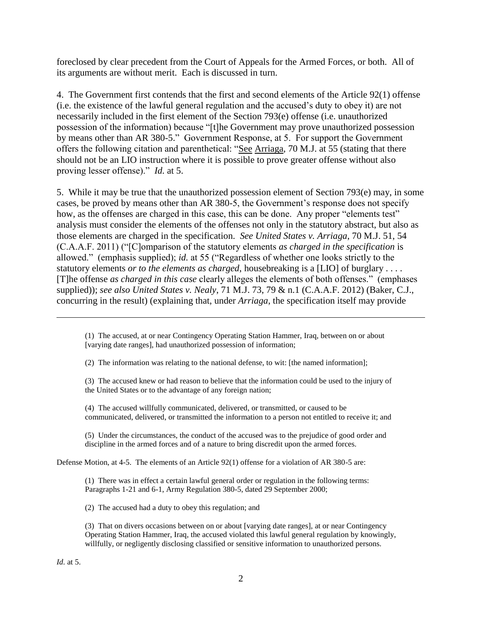foreclosed by clear precedent from the Court of Appeals for the Armed Forces, or both. All of its arguments are without merit. Each is discussed in turn.

4. The Government first contends that the first and second elements of the Article 92(1) offense (i.e. the existence of the lawful general regulation and the accused's duty to obey it) are not necessarily included in the first element of the Section 793(e) offense (i.e. unauthorized possession of the information) because "[t]he Government may prove unauthorized possession by means other than AR 380-5." Government Response, at 5. For support the Government offers the following citation and parenthetical: "See Arriaga, 70 M.J. at 55 (stating that there should not be an LIO instruction where it is possible to prove greater offense without also proving lesser offense)." *Id.* at 5.

5. While it may be true that the unauthorized possession element of Section 793(e) may, in some cases, be proved by means other than AR 380-5, the Government's response does not specify how, as the offenses are charged in this case, this can be done. Any proper "elements test" analysis must consider the elements of the offenses not only in the statutory abstract, but also as those elements are charged in the specification. *See United States v. Arriaga*, 70 M.J. 51, 54 (C.A.A.F. 2011) ("[C]omparison of the statutory elements *as charged in the specification* is allowed." (emphasis supplied); *id.* at 55 ("Regardless of whether one looks strictly to the statutory elements *or to the elements as charged*, housebreaking is a [LIO] of burglary . . . . [T]he offense *as charged in this case* clearly alleges the elements of both offenses." (emphases supplied)); *see also United States v. Nealy*, 71 M.J. 73, 79 & n.1 (C.A.A.F. 2012) (Baker, C.J., concurring in the result) (explaining that, under *Arriaga*, the specification itself may provide

(1) The accused, at or near Contingency Operating Station Hammer, Iraq, between on or about [varying date ranges], had unauthorized possession of information;

(2) The information was relating to the national defense, to wit: [the named information];

(3) The accused knew or had reason to believe that the information could be used to the injury of the United States or to the advantage of any foreign nation;

(4) The accused willfully communicated, delivered, or transmitted, or caused to be communicated, delivered, or transmitted the information to a person not entitled to receive it; and

(5) Under the circumstances, the conduct of the accused was to the prejudice of good order and discipline in the armed forces and of a nature to bring discredit upon the armed forces.

Defense Motion, at 4-5. The elements of an Article 92(1) offense for a violation of AR 380-5 are:

(1) There was in effect a certain lawful general order or regulation in the following terms: Paragraphs 1-21 and 6-1, Army Regulation 380-5, dated 29 September 2000;

(2) The accused had a duty to obey this regulation; and

(3) That on divers occasions between on or about [varying date ranges], at or near Contingency Operating Station Hammer, Iraq, the accused violated this lawful general regulation by knowingly, willfully, or negligently disclosing classified or sensitive information to unauthorized persons.

 $\overline{a}$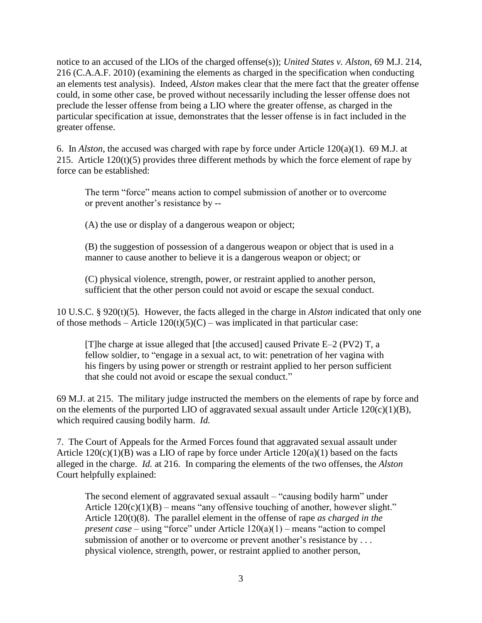notice to an accused of the LIOs of the charged offense(s)); *United States v. Alston*, 69 M.J. 214, 216 (C.A.A.F. 2010) (examining the elements as charged in the specification when conducting an elements test analysis). Indeed, *Alston* makes clear that the mere fact that the greater offense could, in some other case, be proved without necessarily including the lesser offense does not preclude the lesser offense from being a LIO where the greater offense, as charged in the particular specification at issue, demonstrates that the lesser offense is in fact included in the greater offense.

6. In *Alston*, the accused was charged with rape by force under Article 120(a)(1). 69 M.J. at 215. Article 120(t)(5) provides three different methods by which the force element of rape by force can be established:

The term "force" means action to compel submission of another or to overcome or prevent another's resistance by --

(A) the use or display of a dangerous weapon or object;

(B) the suggestion of possession of a dangerous weapon or object that is used in a manner to cause another to believe it is a dangerous weapon or object; or

(C) physical violence, strength, power, or restraint applied to another person, sufficient that the other person could not avoid or escape the sexual conduct.

10 U.S.C. § 920(t)(5). However, the facts alleged in the charge in *Alston* indicated that only one of those methods – Article  $120(t)(5)(C)$  – was implicated in that particular case:

[T]he charge at issue alleged that [the accused] caused Private  $E-2$  (PV2) T, a fellow soldier, to "engage in a sexual act, to wit: penetration of her vagina with his fingers by using power or strength or restraint applied to her person sufficient that she could not avoid or escape the sexual conduct."

69 M.J. at 215. The military judge instructed the members on the elements of rape by force and on the elements of the purported LIO of aggravated sexual assault under Article  $120(c)(1)(B)$ , which required causing bodily harm. *Id.*

7. The Court of Appeals for the Armed Forces found that aggravated sexual assault under Article  $120(c)(1)(B)$  was a LIO of rape by force under Article  $120(a)(1)$  based on the facts alleged in the charge. *Id.* at 216. In comparing the elements of the two offenses, the *Alston* Court helpfully explained:

The second element of aggravated sexual assault – "causing bodily harm" under Article  $120(c)(1)(B)$  – means "any offensive touching of another, however slight." Article 120(t)(8). The parallel element in the offense of rape *as charged in the present case* – using "force" under Article 120(a)(1) – means "action to compel submission of another or to overcome or prevent another's resistance by ... physical violence, strength, power, or restraint applied to another person,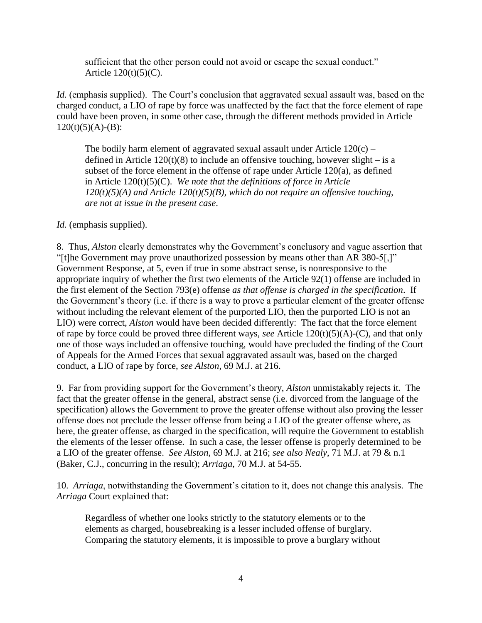sufficient that the other person could not avoid or escape the sexual conduct." Article  $120(t)(5)(C)$ .

*Id.* (emphasis supplied). The Court's conclusion that aggravated sexual assault was, based on the charged conduct, a LIO of rape by force was unaffected by the fact that the force element of rape could have been proven, in some other case, through the different methods provided in Article  $120(t)(5)(A)-(B)$ :

The bodily harm element of aggravated sexual assault under Article  $120(c)$  – defined in Article  $120(t)(8)$  to include an offensive touching, however slight – is a subset of the force element in the offense of rape under Article 120(a), as defined in Article 120(t)(5)(C). *We note that the definitions of force in Article 120(t)(5)(A) and Article 120(t)(5)(B), which do not require an offensive touching, are not at issue in the present case*.

# *Id.* (emphasis supplied).

8. Thus, *Alston* clearly demonstrates why the Government's conclusory and vague assertion that "[t]he Government may prove unauthorized possession by means other than AR 380-5[,]" Government Response, at 5, even if true in some abstract sense, is nonresponsive to the appropriate inquiry of whether the first two elements of the Article 92(1) offense are included in the first element of the Section 793(e) offense *as that offense is charged in the specification*. If the Government's theory (i.e. if there is a way to prove a particular element of the greater offense without including the relevant element of the purported LIO, then the purported LIO is not an LIO) were correct, *Alston* would have been decided differently: The fact that the force element of rape by force could be proved three different ways, *see* Article 120(t)(5)(A)-(C), and that only one of those ways included an offensive touching, would have precluded the finding of the Court of Appeals for the Armed Forces that sexual aggravated assault was, based on the charged conduct, a LIO of rape by force, *see Alston*, 69 M.J. at 216.

9. Far from providing support for the Government's theory, *Alston* unmistakably rejects it. The fact that the greater offense in the general, abstract sense (i.e. divorced from the language of the specification) allows the Government to prove the greater offense without also proving the lesser offense does not preclude the lesser offense from being a LIO of the greater offense where, as here, the greater offense, as charged in the specification, will require the Government to establish the elements of the lesser offense. In such a case, the lesser offense is properly determined to be a LIO of the greater offense. *See Alston*, 69 M.J. at 216; *see also Nealy*, 71 M.J. at 79 & n.1 (Baker, C.J., concurring in the result); *Arriaga*, 70 M.J. at 54-55.

10. *Arriaga*, notwithstanding the Government's citation to it, does not change this analysis. The *Arriaga* Court explained that:

Regardless of whether one looks strictly to the statutory elements or to the elements as charged, housebreaking is a lesser included offense of burglary. Comparing the statutory elements, it is impossible to prove a burglary without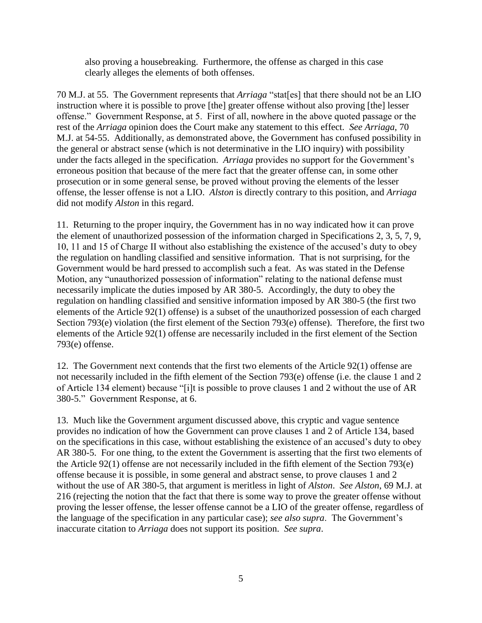also proving a housebreaking. Furthermore, the offense as charged in this case clearly alleges the elements of both offenses.

70 M.J. at 55. The Government represents that *Arriaga* "stat[es] that there should not be an LIO instruction where it is possible to prove [the] greater offense without also proving [the] lesser offense." Government Response, at 5. First of all, nowhere in the above quoted passage or the rest of the *Arriaga* opinion does the Court make any statement to this effect. *See Arriaga*, 70 M.J. at 54-55. Additionally, as demonstrated above, the Government has confused possibility in the general or abstract sense (which is not determinative in the LIO inquiry) with possibility under the facts alleged in the specification. *Arriaga* provides no support for the Government's erroneous position that because of the mere fact that the greater offense can, in some other prosecution or in some general sense, be proved without proving the elements of the lesser offense, the lesser offense is not a LIO. *Alston* is directly contrary to this position, and *Arriaga* did not modify *Alston* in this regard.

11. Returning to the proper inquiry, the Government has in no way indicated how it can prove the element of unauthorized possession of the information charged in Specifications 2, 3, 5, 7, 9, 10, 11 and 15 of Charge II without also establishing the existence of the accused's duty to obey the regulation on handling classified and sensitive information. That is not surprising, for the Government would be hard pressed to accomplish such a feat. As was stated in the Defense Motion, any "unauthorized possession of information" relating to the national defense must necessarily implicate the duties imposed by AR 380-5. Accordingly, the duty to obey the regulation on handling classified and sensitive information imposed by AR 380-5 (the first two elements of the Article 92(1) offense) is a subset of the unauthorized possession of each charged Section 793(e) violation (the first element of the Section 793(e) offense). Therefore, the first two elements of the Article 92(1) offense are necessarily included in the first element of the Section 793(e) offense.

12. The Government next contends that the first two elements of the Article 92(1) offense are not necessarily included in the fifth element of the Section 793(e) offense (i.e. the clause 1 and 2 of Article 134 element) because "[i]t is possible to prove clauses 1 and 2 without the use of AR 380-5." Government Response, at 6.

13. Much like the Government argument discussed above, this cryptic and vague sentence provides no indication of how the Government can prove clauses 1 and 2 of Article 134, based on the specifications in this case, without establishing the existence of an accused's duty to obey AR 380-5. For one thing, to the extent the Government is asserting that the first two elements of the Article 92(1) offense are not necessarily included in the fifth element of the Section 793(e) offense because it is possible, in some general and abstract sense, to prove clauses 1 and 2 without the use of AR 380-5, that argument is meritless in light of *Alston*. *See Alston*, 69 M.J. at 216 (rejecting the notion that the fact that there is some way to prove the greater offense without proving the lesser offense, the lesser offense cannot be a LIO of the greater offense, regardless of the language of the specification in any particular case); *see also supra*. The Government's inaccurate citation to *Arriaga* does not support its position. *See supra*.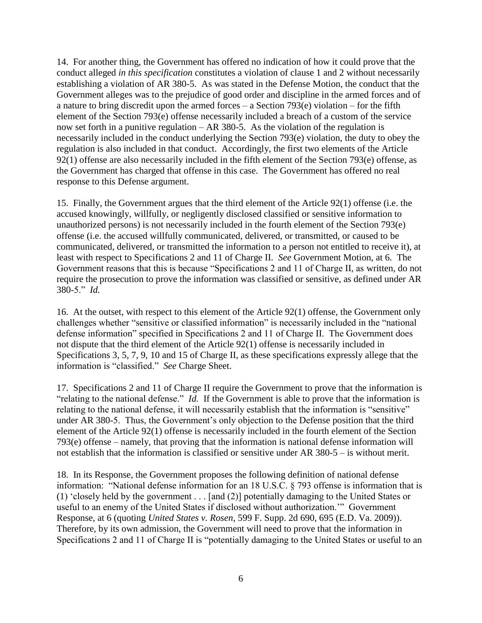14. For another thing, the Government has offered no indication of how it could prove that the conduct alleged *in this specification* constitutes a violation of clause 1 and 2 without necessarily establishing a violation of AR 380-5. As was stated in the Defense Motion, the conduct that the Government alleges was to the prejudice of good order and discipline in the armed forces and of a nature to bring discredit upon the armed forces – a Section 793(e) violation – for the fifth element of the Section 793(e) offense necessarily included a breach of a custom of the service now set forth in a punitive regulation – AR 380-5. As the violation of the regulation is necessarily included in the conduct underlying the Section 793(e) violation, the duty to obey the regulation is also included in that conduct. Accordingly, the first two elements of the Article 92(1) offense are also necessarily included in the fifth element of the Section 793(e) offense, as the Government has charged that offense in this case. The Government has offered no real response to this Defense argument.

15. Finally, the Government argues that the third element of the Article 92(1) offense (i.e. the accused knowingly, willfully, or negligently disclosed classified or sensitive information to unauthorized persons) is not necessarily included in the fourth element of the Section 793(e) offense (i.e. the accused willfully communicated, delivered, or transmitted, or caused to be communicated, delivered, or transmitted the information to a person not entitled to receive it), at least with respect to Specifications 2 and 11 of Charge II. *See* Government Motion, at 6. The Government reasons that this is because "Specifications 2 and 11 of Charge II, as written, do not require the prosecution to prove the information was classified or sensitive, as defined under AR 380-5." *Id.*

16. At the outset, with respect to this element of the Article 92(1) offense, the Government only challenges whether "sensitive or classified information" is necessarily included in the "national defense information" specified in Specifications 2 and 11 of Charge II. The Government does not dispute that the third element of the Article 92(1) offense is necessarily included in Specifications 3, 5, 7, 9, 10 and 15 of Charge II, as these specifications expressly allege that the information is "classified." *See* Charge Sheet.

17. Specifications 2 and 11 of Charge II require the Government to prove that the information is "relating to the national defense." *Id.* If the Government is able to prove that the information is relating to the national defense, it will necessarily establish that the information is "sensitive" under AR 380-5. Thus, the Government's only objection to the Defense position that the third element of the Article 92(1) offense is necessarily included in the fourth element of the Section 793(e) offense – namely, that proving that the information is national defense information will not establish that the information is classified or sensitive under AR 380-5 – is without merit.

18. In its Response, the Government proposes the following definition of national defense information: "National defense information for an 18 U.S.C. § 793 offense is information that is (1) 'closely held by the government . . . [and (2)] potentially damaging to the United States or useful to an enemy of the United States if disclosed without authorization.'" Government Response, at 6 (quoting *United States v. Rosen*, 599 F. Supp. 2d 690, 695 (E.D. Va. 2009)). Therefore, by its own admission, the Government will need to prove that the information in Specifications 2 and 11 of Charge II is "potentially damaging to the United States or useful to an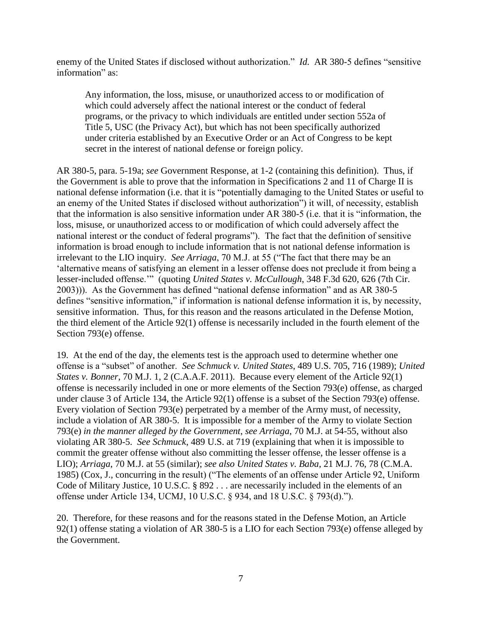enemy of the United States if disclosed without authorization." *Id.* AR 380-5 defines "sensitive information" as:

Any information, the loss, misuse, or unauthorized access to or modification of which could adversely affect the national interest or the conduct of federal programs, or the privacy to which individuals are entitled under section 552a of Title 5, USC (the Privacy Act), but which has not been specifically authorized under criteria established by an Executive Order or an Act of Congress to be kept secret in the interest of national defense or foreign policy.

AR 380-5, para. 5-19a; *see* Government Response, at 1-2 (containing this definition). Thus, if the Government is able to prove that the information in Specifications 2 and 11 of Charge II is national defense information (i.e. that it is "potentially damaging to the United States or useful to an enemy of the United States if disclosed without authorization") it will, of necessity, establish that the information is also sensitive information under AR 380-5 (i.e. that it is "information, the loss, misuse, or unauthorized access to or modification of which could adversely affect the national interest or the conduct of federal programs"). The fact that the definition of sensitive information is broad enough to include information that is not national defense information is irrelevant to the LIO inquiry. *See Arriaga*, 70 M.J. at 55 ("The fact that there may be an 'alternative means of satisfying an element in a lesser offense does not preclude it from being a lesser-included offense.'" (quoting *United States v. McCullough*, 348 F.3d 620, 626 (7th Cir. 2003))). As the Government has defined "national defense information" and as AR 380-5 defines "sensitive information," if information is national defense information it is, by necessity, sensitive information. Thus, for this reason and the reasons articulated in the Defense Motion, the third element of the Article 92(1) offense is necessarily included in the fourth element of the Section 793(e) offense.

19. At the end of the day, the elements test is the approach used to determine whether one offense is a "subset" of another. *See Schmuck v. United States*, 489 U.S. 705, 716 (1989); *United States v. Bonner*, 70 M.J. 1, 2 (C.A.A.F. 2011). Because every element of the Article 92(1) offense is necessarily included in one or more elements of the Section 793(e) offense, as charged under clause 3 of Article 134, the Article 92(1) offense is a subset of the Section 793(e) offense. Every violation of Section 793(e) perpetrated by a member of the Army must, of necessity, include a violation of AR 380-5. It is impossible for a member of the Army to violate Section 793(e) *in the manner alleged by the Government*, *see Arriaga*, 70 M.J. at 54-55, without also violating AR 380-5. *See Schmuck*, 489 U.S. at 719 (explaining that when it is impossible to commit the greater offense without also committing the lesser offense, the lesser offense is a LIO); *Arriaga*, 70 M.J. at 55 (similar); *see also United States v. Baba*, 21 M.J. 76, 78 (C.M.A. 1985) (Cox, J., concurring in the result) ("The elements of an offense under Article 92, Uniform Code of Military Justice, 10 U.S.C. § 892 . . . are necessarily included in the elements of an offense under Article 134, UCMJ, 10 U.S.C. § 934, and 18 U.S.C. § 793(d).").

20. Therefore, for these reasons and for the reasons stated in the Defense Motion, an Article 92(1) offense stating a violation of AR 380-5 is a LIO for each Section 793(e) offense alleged by the Government.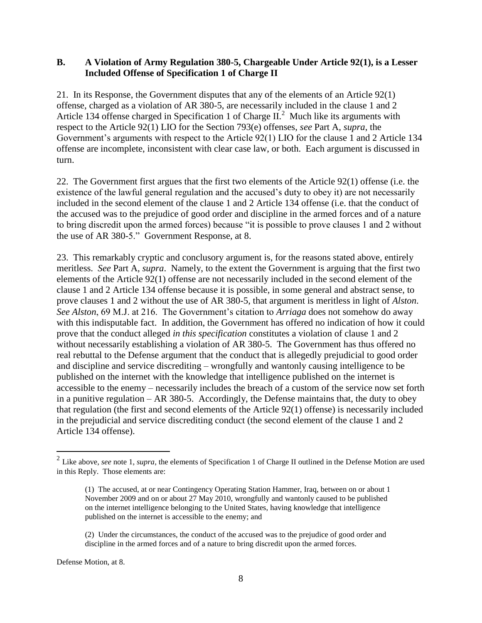### **B. A Violation of Army Regulation 380-5, Chargeable Under Article 92(1), is a Lesser Included Offense of Specification 1 of Charge II**

21. In its Response, the Government disputes that any of the elements of an Article 92(1) offense, charged as a violation of AR 380-5, are necessarily included in the clause 1 and 2 Article 134 offense charged in Specification 1 of Charge  $II^2$ . Much like its arguments with respect to the Article 92(1) LIO for the Section 793(e) offenses, *see* Part A, *supra*, the Government's arguments with respect to the Article 92(1) LIO for the clause 1 and 2 Article 134 offense are incomplete, inconsistent with clear case law, or both. Each argument is discussed in turn.

22. The Government first argues that the first two elements of the Article 92(1) offense (i.e. the existence of the lawful general regulation and the accused's duty to obey it) are not necessarily included in the second element of the clause 1 and 2 Article 134 offense (i.e. that the conduct of the accused was to the prejudice of good order and discipline in the armed forces and of a nature to bring discredit upon the armed forces) because "it is possible to prove clauses 1 and 2 without the use of AR 380-5." Government Response, at 8.

23. This remarkably cryptic and conclusory argument is, for the reasons stated above, entirely meritless. *See* Part A, *supra*. Namely, to the extent the Government is arguing that the first two elements of the Article 92(1) offense are not necessarily included in the second element of the clause 1 and 2 Article 134 offense because it is possible, in some general and abstract sense, to prove clauses 1 and 2 without the use of AR 380-5, that argument is meritless in light of *Alston*. *See Alston*, 69 M.J. at 216. The Government's citation to *Arriaga* does not somehow do away with this indisputable fact. In addition, the Government has offered no indication of how it could prove that the conduct alleged *in this specification* constitutes a violation of clause 1 and 2 without necessarily establishing a violation of AR 380-5. The Government has thus offered no real rebuttal to the Defense argument that the conduct that is allegedly prejudicial to good order and discipline and service discrediting – wrongfully and wantonly causing intelligence to be published on the internet with the knowledge that intelligence published on the internet is accessible to the enemy – necessarily includes the breach of a custom of the service now set forth in a punitive regulation – AR 380-5. Accordingly, the Defense maintains that, the duty to obey that regulation (the first and second elements of the Article 92(1) offense) is necessarily included in the prejudicial and service discrediting conduct (the second element of the clause 1 and 2 Article 134 offense).

Defense Motion, at 8.

 2 Like above, *see* note 1, *supra*, the elements of Specification 1 of Charge II outlined in the Defense Motion are used in this Reply. Those elements are:

<sup>(1)</sup> The accused, at or near Contingency Operating Station Hammer, Iraq, between on or about 1 November 2009 and on or about 27 May 2010, wrongfully and wantonly caused to be published on the internet intelligence belonging to the United States, having knowledge that intelligence published on the internet is accessible to the enemy; and

<sup>(2)</sup> Under the circumstances, the conduct of the accused was to the prejudice of good order and discipline in the armed forces and of a nature to bring discredit upon the armed forces.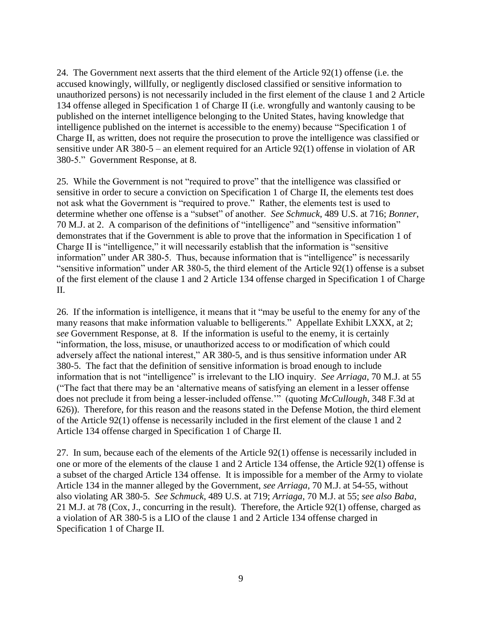24. The Government next asserts that the third element of the Article 92(1) offense (i.e. the accused knowingly, willfully, or negligently disclosed classified or sensitive information to unauthorized persons) is not necessarily included in the first element of the clause 1 and 2 Article 134 offense alleged in Specification 1 of Charge II (i.e. wrongfully and wantonly causing to be published on the internet intelligence belonging to the United States, having knowledge that intelligence published on the internet is accessible to the enemy) because "Specification 1 of Charge II, as written, does not require the prosecution to prove the intelligence was classified or sensitive under AR 380-5 – an element required for an Article 92(1) offense in violation of AR 380-5." Government Response, at 8.

25. While the Government is not "required to prove" that the intelligence was classified or sensitive in order to secure a conviction on Specification 1 of Charge II, the elements test does not ask what the Government is "required to prove." Rather, the elements test is used to determine whether one offense is a "subset" of another. *See Schmuck*, 489 U.S. at 716; *Bonner*, 70 M.J. at 2. A comparison of the definitions of "intelligence" and "sensitive information" demonstrates that if the Government is able to prove that the information in Specification 1 of Charge II is "intelligence," it will necessarily establish that the information is "sensitive information" under AR 380-5. Thus, because information that is "intelligence" is necessarily "sensitive information" under AR 380-5, the third element of the Article 92(1) offense is a subset of the first element of the clause 1 and 2 Article 134 offense charged in Specification 1 of Charge II.

26. If the information is intelligence, it means that it "may be useful to the enemy for any of the many reasons that make information valuable to belligerents." Appellate Exhibit LXXX, at 2; *see* Government Response, at 8. If the information is useful to the enemy, it is certainly "information, the loss, misuse, or unauthorized access to or modification of which could adversely affect the national interest," AR 380-5, and is thus sensitive information under AR 380-5. The fact that the definition of sensitive information is broad enough to include information that is not "intelligence" is irrelevant to the LIO inquiry. *See Arriaga*, 70 M.J. at 55 ("The fact that there may be an 'alternative means of satisfying an element in a lesser offense does not preclude it from being a lesser-included offense.'" (quoting *McCullough*, 348 F.3d at 626)). Therefore, for this reason and the reasons stated in the Defense Motion, the third element of the Article 92(1) offense is necessarily included in the first element of the clause 1 and 2 Article 134 offense charged in Specification 1 of Charge II.

27. In sum, because each of the elements of the Article 92(1) offense is necessarily included in one or more of the elements of the clause 1 and 2 Article 134 offense, the Article 92(1) offense is a subset of the charged Article 134 offense. It is impossible for a member of the Army to violate Article 134 in the manner alleged by the Government, *see Arriaga*, 70 M.J. at 54-55, without also violating AR 380-5. *See Schmuck*, 489 U.S. at 719; *Arriaga*, 70 M.J. at 55; *see also Baba*, 21 M.J. at 78 (Cox, J., concurring in the result). Therefore, the Article 92(1) offense, charged as a violation of AR 380-5 is a LIO of the clause 1 and 2 Article 134 offense charged in Specification 1 of Charge II.